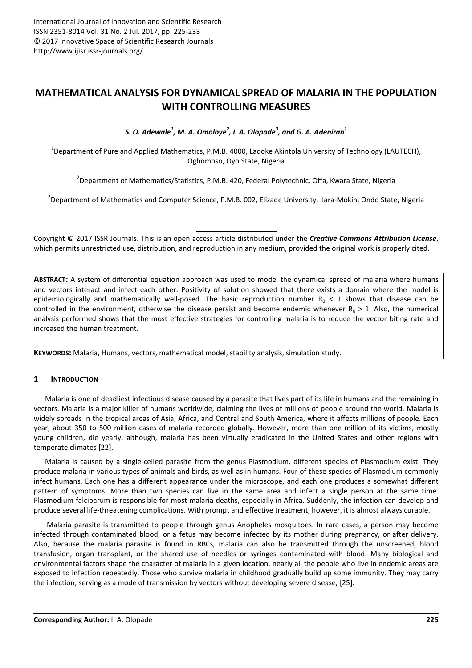# **MATHEMATICAL ANALYSIS FOR DYNAMICAL SPREAD OF MALARIA IN THE POPULATION WITH CONTROLLING MEASURES**

*S. O. Adewale<sup>1</sup> , M. A. Omoloye<sup>2</sup> , I. A. Olopade<sup>3</sup> , and G. A. Adeniran<sup>1</sup>*

 $^1$ Department of Pure and Applied Mathematics, P.M.B. 4000, Ladoke Akintola University of Technology (LAUTECH), Ogbomoso, Oyo State, Nigeria

<sup>2</sup>Department of Mathematics/Statistics, P.M.B. 420, Federal Polytechnic, Offa, Kwara State, Nigeria

<sup>3</sup>Department of Mathematics and Computer Science, P.M.B. 002, Elizade University, Ilara-Mokin, Ondo State, Nigeria

Copyright © 2017 ISSR Journals. This is an open access article distributed under the *Creative Commons Attribution License*, which permits unrestricted use, distribution, and reproduction in any medium, provided the original work is properly cited.

**ABSTRACT:** A system of differential equation approach was used to model the dynamical spread of malaria where humans and vectors interact and infect each other. Positivity of solution showed that there exists a domain where the model is epidemiologically and mathematically well-posed. The basic reproduction number  $R_0 < 1$  shows that disease can be controlled in the environment, otherwise the disease persist and become endemic whenever  $R_0 > 1$ . Also, the numerical analysis performed shows that the most effective strategies for controlling malaria is to reduce the vector biting rate and increased the human treatment.

**KEYWORDS:** Malaria, Humans, vectors, mathematical model, stability analysis, simulation study.

# **1 INTRODUCTION**

Malaria is one of deadliest infectious disease caused by a parasite that lives part of its life in humans and the remaining in vectors. Malaria is a major killer of humans worldwide, claiming the lives of millions of people around the world. Malaria is widely spreads in the tropical areas of Asia, Africa, and Central and South America, where it affects millions of people. Each year, about 350 to 500 million cases of malaria recorded globally. However, more than one million of its victims, mostly young children, die yearly, although, malaria has been virtually eradicated in the United States and other regions with temperate climates [22].

Malaria is caused by a single-celled parasite from the genus Plasmodium, different species of Plasmodium exist. They produce malaria in various types of animals and birds, as well as in humans. Four of these species of Plasmodium commonly infect humans. Each one has a different appearance under the microscope, and each one produces a somewhat different pattern of symptoms. More than two species can live in the same area and infect a single person at the same time. Plasmodium falciparum is responsible for most malaria deaths, especially in Africa. Suddenly, the infection can develop and produce several life-threatening complications. With prompt and effective treatment, however, it is almost always curable.

 Malaria parasite is transmitted to people through genus Anopheles mosquitoes. In rare cases, a person may become infected through contaminated blood, or a fetus may become infected by its mother during pregnancy, or after delivery. Also, because the malaria parasite is found in RBCs, malaria can also be transmitted through the unscreened, blood transfusion, organ transplant, or the shared use of needles or syringes contaminated with blood. Many biological and environmental factors shape the character of malaria in a given location, nearly all the people who live in endemic areas are exposed to infection repeatedly. Those who survive malaria in childhood gradually build up some immunity. They may carry the infection, serving as a mode of transmission by vectors without developing severe disease, [25].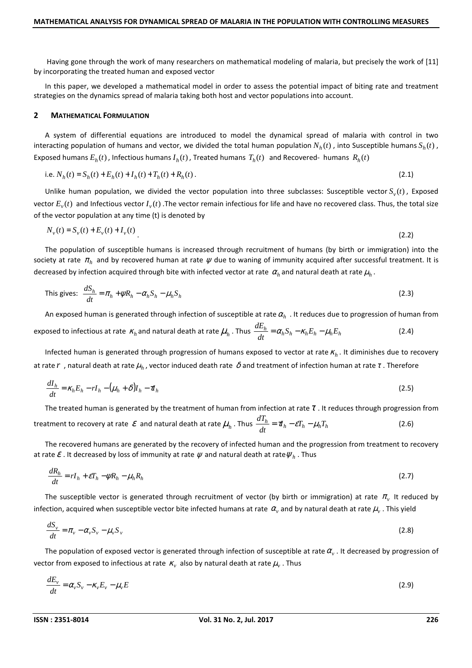Having gone through the work of many researchers on mathematical modeling of malaria, but precisely the work of [11] by incorporating the treated human and exposed vector

In this paper, we developed a mathematical model in order to assess the potential impact of biting rate and treatment strategies on the dynamics spread of malaria taking both host and vector populations into account.

#### **2 MATHEMATICAL FORMULATION**

A system of differential equations are introduced to model the dynamical spread of malaria with control in two interacting population of humans and vector, we divided the total human population  $N_h(t)$  , into Susceptible humans  $S_h(t)$  , Exposed humans  $E_h(t)$  , Infectious humans  $I_h(t)$  , Treated humans  $T_h(t)$  and Recovered- humans  $R_h(t)$ 

i.e. 
$$
N_h(t) = S_h(t) + E_h(t) + I_h(t) + T_h(t) + R_h(t)
$$
. (2.1)

Unlike human population, we divided the vector population into three subclasses: Susceptible vector  $S_v(t)$ , Exposed vector  $E_v(t)$  and Infectious vector  $I_v(t)$  .The vector remain infectious for life and have no recovered class. Thus, the total size of the vector population at any time (t) is denoted by

$$
N_{\nu}(t) = S_{\nu}(t) + E_{\nu}(t) + I_{\nu}(t)
$$
\n(2.2)

The population of susceptible humans is increased through recruitment of humans (by birth or immigration) into the society at rate  $\pi_h$  and by recovered human at rate  $\psi$  due to waning of immunity acquired after successful treatment. It is decreased by infection acquired through bite with infected vector at rate  $\alpha_h$  and natural death at rate  $\mu_h$ .

This gives: 
$$
\frac{dS_h}{dt} = \pi_h + \psi R_h - \alpha_h S_h - \mu_h S_h
$$
 (2.3)

An exposed human is generated through infection of susceptible at rate  $\alpha_h$  . It reduces due to progression of human from exposed to infectious at rate  $\kappa_h$  and natural death at rate  $\mu_h$  . Thus  $\frac{dE_h}{dt} = \alpha_h S_h - \kappa_h E_h - \mu_h E_h$  $\frac{dE_h}{dt} = \alpha_h S_h - \kappa_h E_h - \mu_h E_h$ (2.4)

Infected human is generated through progression of humans exposed to vector at rate  $\kappa_h$ . It diminishes due to recovery at rate  $r$  , natural death at rate  $\mu_h$ , vector induced death rate  $\delta$  and treatment of infection human at rate  $\tau$  . Therefore

$$
\frac{dI_h}{dt} = \kappa_h E_h - rI_h - (\mu_h + \delta)I_h - \tau I_h
$$
\n(2.5)

The treated human is generated by the treatment of human from infection at rate  $\tau$ . It reduces through progression from treatment to recovery at rate  $\mathcal E$  and natural death at rate  $\mu_h$  . Thus  $\frac{d\mu_h}{dt} = \pi_h - \varepsilon T_h - \mu_h T_h$  $\frac{dT_h}{dt} = \tau h - \varepsilon T_h - \mu_h T_h$ (2.6)

The recovered humans are generated by the recovery of infected human and the progression from treatment to recovery at rate  $\varepsilon$  . It decreased by loss of immunity at rate  $\psi$  and natural death at rate  $\psi_{\scriptscriptstyle h}$  . Thus

$$
\frac{dR_h}{dt} = rI_h + \varepsilon T_h - \psi R_h - \mu_h R_h \tag{2.7}
$$

The susceptible vector is generated through recruitment of vector (by birth or immigration) at rate  $\pi_v$  It reduced by infection, acquired when susceptible vector bite infected humans at rate  $\alpha_v$  and by natural death at rate  $\mu_v$  . This yield

$$
\frac{dS_v}{dt} = \pi_v - \alpha_v S_v - \mu_v S_v \tag{2.8}
$$

The population of exposed vector is generated through infection of susceptible at rate  $\alpha_{\rm v}$  . It decreased by progression of vector from exposed to infectious at rate  $\kappa_{\rm v}$  also by natural death at rate  $\mu_{\rm v}$  . Thus

$$
\frac{dE_{\nu}}{dt} = \alpha_{\nu} S_{\nu} - \kappa_{\nu} E_{\nu} - \mu_{\nu} E
$$
\n(2.9)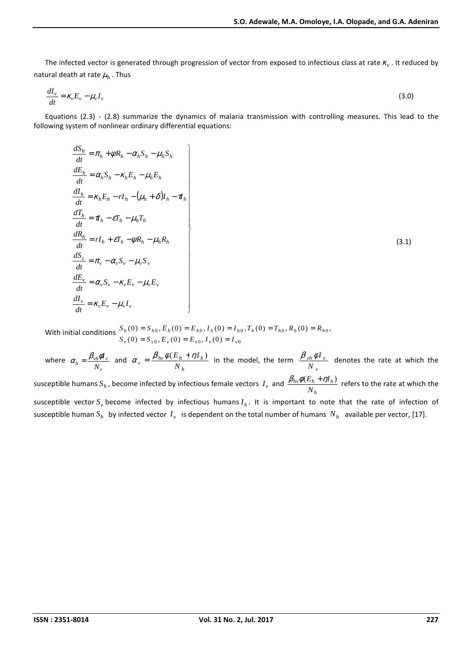The infected vector is generated through progression of vector from exposed to infectious class at rate  $\kappa_v$  . It reduced by natural death at rate  $\mu_h$  . Thus

$$
\frac{dI_{\nu}}{dt} = \kappa_{\nu} E_{\nu} - \mu_{\nu} I_{\nu} \tag{3.0}
$$

Equations (2.3) - (2.8) summarize the dynamics of malaria transmission with controlling measures. This lead to the following system of nonlinear ordinary differential equations:

$$
\begin{aligned}\n\frac{dS_h}{dt} &= \pi_h + \psi R_h - \alpha_h S_h - \mu_h S_h \\
\frac{dE_h}{dt} &= \alpha_h S_h - \kappa_h E_h - \mu_h E_h \\
\frac{dI_h}{dt} &= \kappa_h E_h - rI_h - (\mu_h + \delta)I_h - \mathbf{d}_h \\
\frac{dT_h}{dt} &= \mathbf{d}_h - \varepsilon T_h - \mu_h T_h \\
\frac{dR_h}{dt} &= rI_h + \varepsilon T_h - \psi R_h - \mu_h R_h \\
\frac{dS_v}{dt} &= \pi_v - \alpha_v S_v - \mu_v S_v \\
\frac{dE_v}{dt} &= \alpha_v S_v - \kappa_v E_v - \mu_v E_v \\
\frac{dI_v}{dt} &= \kappa_v E_v - \mu_v I_v\n\end{aligned}
$$
\n(3.1)

With initial conditions  $_0, E_v(0) - E_v_0, I_v(0) - I_v_0$  $_0$ ,  $E_h$ (v) –  $E_{h0}$ ,  $I_h$ (v) –  $I_{h0}$ ,  $I_h$ (v) –  $I_{h0}$ ,  $\Lambda_h$ (v) –  $\Lambda_{h0}$  $(0) = S_{v0}, E_{v}(0) = E_{v0}, I_{v}(0)$  $(0) = S_{h0}, E_h(0) = E_{h0}, I_h(0) = I_{h0}, T_h(0) = T_{h0}, R_h(0) = R_{h0},$  $\nu_v$  (*v*) –  $\nu_v$   $\nu_v$   $\nu_v$  (*v*) –  $\nu_v$   $\nu_v$  (*v*) –  $\nu_v$ *h h h h h h h h h h*  $S_v(0) = S_{v0}$ ,  $E_v(0) = E_{v0}$ ,  $I_v(0) = I$  $S_h(0) = S_{h0}, E_h(0) = E_{h0}, I_h(0) = I_{h0}, T_h(0) = T_{h0}, R_h(0) = R$  $= S_{v0}, E_{v}(0) = E_{v0}, I_{v}(0) =$  $= S_{h0}, E_h(0) = E_{h0}, I_h(0) = I_{h0}, T_h(0) = T_{h0}, R_h(0) =$ 

where *v*  $\frac{\rho_{vh}\varphi_{\nu}}{N_{\nu}}$  $\alpha_{h} = \frac{\beta_{vh} \phi I_{v}}{N}$  and *h*  $v = \frac{p_{hv} \psi (E_h + \eta I_h)}{N_h}$  $\alpha_v = \frac{\beta_{hv} \phi(E_h + \eta I_h)}{v}$  in the model, the term *v*  $v$ *h*  $\varphi$ *l*  $v$ *N*  $\frac{\beta_{vh} \phi I_v}{\beta_{hh}}$  denotes the rate at which the susceptible humans  $S_h$  , become infected by infectious female vectors  $I_v$  and *h*  $h_V \psi$ ( $E_h$  +  $I \mu_h$ *N*  $\frac{\beta_{hv}\phi(E_h+\eta I_h)}{m}$  refers to the rate at which the susceptible vector  $S_v$  become infected by infectious humans  $I_h$ . It is important to note that the rate of infection of susceptible human  $S_h$  by infected vector  $I_v$  is dependent on the total number of humans  $N_h$  available per vector, [17].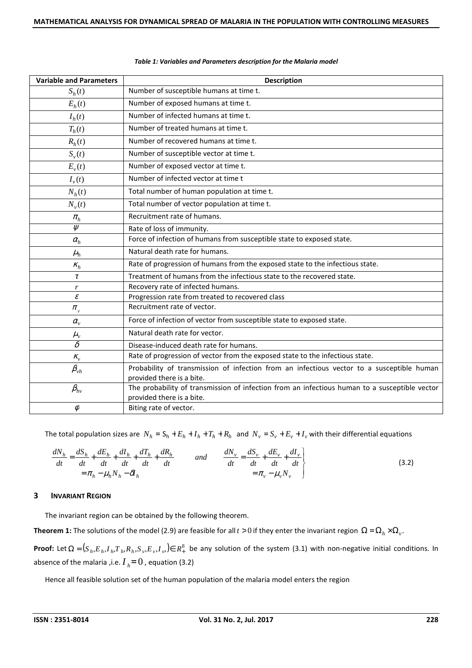| <b>Variable and Parameters</b> | <b>Description</b>                                                                            |  |
|--------------------------------|-----------------------------------------------------------------------------------------------|--|
| $S_h(t)$                       | Number of susceptible humans at time t.                                                       |  |
| $E_h(t)$                       | Number of exposed humans at time t.                                                           |  |
| $I_h(t)$                       | Number of infected humans at time t.                                                          |  |
| $T_h(t)$                       | Number of treated humans at time t.                                                           |  |
| $R_h(t)$                       | Number of recovered humans at time t.                                                         |  |
| $S_v(t)$                       | Number of susceptible vector at time t.                                                       |  |
| $E_{v}(t)$                     | Number of exposed vector at time t.                                                           |  |
| $I_{v}(t)$                     | Number of infected vector at time t                                                           |  |
| $N_h(t)$                       | Total number of human population at time t.                                                   |  |
| $N_v(t)$                       | Total number of vector population at time t.                                                  |  |
| $\pi_{\scriptscriptstyle h}$   | Recruitment rate of humans.                                                                   |  |
| $\overline{\psi}$              | Rate of loss of immunity.                                                                     |  |
| $\alpha_h$                     | Force of infection of humans from susceptible state to exposed state.                         |  |
| $\mu_h$                        | Natural death rate for humans.                                                                |  |
| $K_h$                          | Rate of progression of humans from the exposed state to the infectious state.                 |  |
| $\tau$                         | Treatment of humans from the infectious state to the recovered state.                         |  |
| r                              | Recovery rate of infected humans.                                                             |  |
| $\mathcal E$                   | Progression rate from treated to recovered class                                              |  |
| $\pi_{\rm v}$                  | Recruitment rate of vector.                                                                   |  |
| $\alpha_{v}$                   | Force of infection of vector from susceptible state to exposed state.                         |  |
| $\mu_{v}$                      | Natural death rate for vector.                                                                |  |
| $\overline{\delta}$            | Disease-induced death rate for humans.                                                        |  |
| $K_v$                          | Rate of progression of vector from the exposed state to the infectious state.                 |  |
| $\beta_{\tiny{\it vh}}$        | Probability of transmission of infection from an infectious vector to a susceptible human     |  |
|                                | provided there is a bite.                                                                     |  |
| $\beta_{hv}$                   | The probability of transmission of infection from an infectious human to a susceptible vector |  |
|                                | provided there is a bite.                                                                     |  |
| $\phi$                         | Biting rate of vector.                                                                        |  |

#### *Table 1: Variables and Parameters description for the Malaria model*

The total population sizes are  $N_h = S_h + E_h + I_h + T_h + R_h$  and  $N_v = S_v + E_v + I_v$  with their differential equations

$$
\frac{dN_h}{dt} = \frac{dS_h}{dt} + \frac{dE_h}{dt} + \frac{dI_h}{dt} + \frac{dT_h}{dt} + \frac{dR_h}{dt} \qquad \text{and} \qquad \frac{dN_v}{dt} = \frac{dS_v}{dt} + \frac{dE_v}{dt} + \frac{dI_v}{dt}
$$
\n
$$
= \pi_h - \mu_h N_h - \delta I_h \qquad (3.2)
$$

## **3 INVARIANT REGION**

The invariant region can be obtained by the following theorem.

**Theorem 1:** The solutions of the model (2.9) are feasible for all  $t > 0$  if they enter the invariant region  $\Omega = \Omega_h \times \Omega_v$ .

**Proof:** Let  $\Omega = (S_h, E_h, I_h, T_h, R_h, S_v, E_v, I_v) \in R^8_+$  be any solution of the system (3.1) with non-negative initial conditions. In absence of the malaria ,i.e.  $I_{h} = 0$  , equation (3.2)

Hence all feasible solution set of the human population of the malaria model enters the region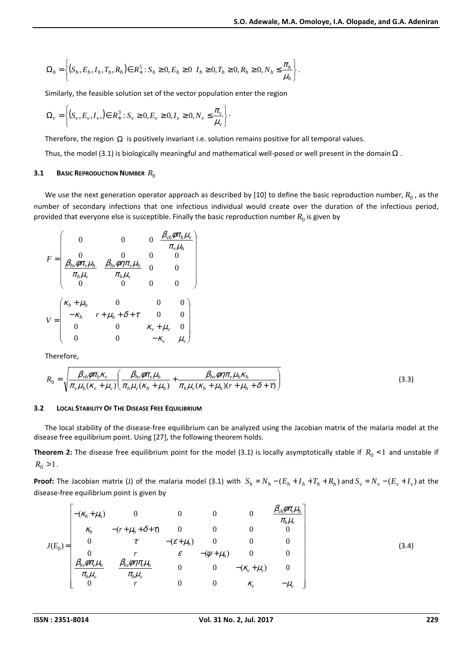$$
\Omega_h = \left\{ (S_h, E_h, I_h, T_h, R_h) \in R_+^5 : S_h \ge 0, E_h \ge 0 \mid I_h \ge 0, T_h \ge 0, R_h \ge 0, N_h \le \frac{\pi_h}{\mu_h} \right\}.
$$

Similarly, the feasible solution set of the vector population enter the region

$$
\Omega_{v} = \left\{ (S_{v}, E_{v}, I_{v},) \in R_{+}^{3} : S_{v} \geq 0, E_{v} \geq 0, I_{v} \geq 0, N_{v} \leq \frac{\pi_{v}}{\mu_{v}} \right\}.
$$

Therefore, the region  $\Omega$  is positively invariant i.e. solution remains positive for all temporal values.

Thus, the model (3.1) is biologically meaningful and mathematical well-posed or well present in the domain  $\Omega$ .

## **3.1 BASIC REPRODUCTION NUMBER** *R*<sup>0</sup>

We use the next generation operator approach as described by [10] to define the basic reproduction number,  $R_0$  , as the number of secondary infections that one infectious individual would create over the duration of the infectious period, provided that everyone else is susceptible. Finally the basic reproduction number  $R_0$  is given by

$$
F = \begin{pmatrix}\n0 & 0 & 0 & \frac{\beta_{vh}\phi\pi_h\mu_v}{\pi_v\mu_h} \\
0 & 0 & 0 & 0 \\
\frac{\beta_{hv}\phi\pi_v\mu_h}{\pi_h\mu_v} & \frac{\beta_{hv}\phi\eta\pi_v\mu_h}{\pi_h\mu_v} & 0 & 0 \\
0 & 0 & 0 & 0\n\end{pmatrix}
$$
\n
$$
V = \begin{pmatrix}\n\kappa_h + \mu_h & 0 & 0 & 0 \\
-\kappa_h & r + \mu_h + \delta + \tau & 0 & 0 \\
0 & 0 & \kappa_v + \mu_v & 0 \\
0 & 0 & -\kappa_v & \mu_v\n\end{pmatrix}
$$

Therefore,

$$
R_0 = \sqrt{\frac{\beta_{vh}\phi\pi_h\kappa_v}{\pi_v\mu_h(\kappa_v+\mu_v)}\left(\frac{\beta_{hv}\phi\pi_v\mu_h}{\pi_h\mu_v(\kappa_h+\mu_h)}+\frac{\beta_{hv}\phi\eta\pi_v\mu_h\kappa_h}{\pi_h\mu_v(\kappa_h+\mu_h)(r+\mu_h+\delta+\tau)}\right)}
$$
(3.3)

#### **3.2 LOCAL STABILITY OF THE DISEASE FREE EQUILIBRIUM**

The local stability of the disease-free equilibrium can be analyzed using the Jacobian matrix of the malaria model at the disease free equilibrium point. Using [27], the following theorem holds.

**Theorem 2:** The disease free equilibrium point for the model (3.1) is locally asymptotically stable if  $R_0 < 1$  and unstable if  $R_0 > 1$ .

**Proof:** The Jacobian matrix (J) of the malaria model (3.1) with  $S_h = N_h - (E_h + I_h + T_h + R_h)$  and  $S_v = N_v - (E_v + I_v)$  at the disease-free equilibrium point is given by

$$
J(E_0) = \begin{bmatrix} -(\kappa_h + \mu_h) & 0 & 0 & 0 & \frac{\beta_{vh}\phi\pi_v\mu_h}{\pi_h\mu_v} \\ \kappa_h & -(r + \mu_h + \delta + \tau) & 0 & 0 & 0 & 0 \\ 0 & \tau & -(\varepsilon + \mu_h) & 0 & 0 & 0 \\ 0 & r & \varepsilon & -(\psi + \mu_h) & 0 & 0 \\ \frac{\beta_{hv}\phi\pi_v\mu_h}{\pi_h\mu_v} & \frac{\beta_{hv}\phi\eta\pi_v\mu_h}{\pi_h\mu_v} & 0 & 0 & -(\kappa_v + \mu_v) & 0 \\ 0 & r & 0 & 0 & \kappa_v & -\mu_v \end{bmatrix}
$$
(3.4)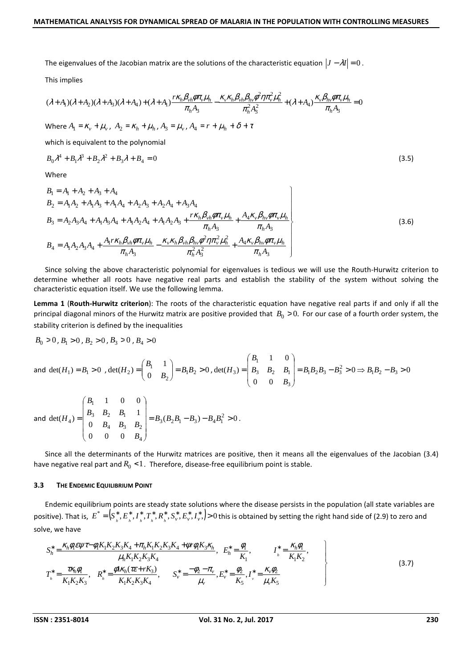The eigenvalues of the Jacobian matrix are the solutions of the characteristic equation  $|J - \lambda I| = 0$ .

This implies

$$
(\lambda + A_1)(\lambda + A_2)(\lambda + A_3)(\lambda + A_4) + (\lambda + A_1)\frac{r\kappa_h \beta_{vh} \phi \pi_v \mu_h}{\pi_h A_3} - \frac{\kappa_v \kappa_h \beta_{vh} \beta_{hv} \phi^2 \eta \pi_v^2 \mu_h^2}{\pi_h^2 A_3^2} + (\lambda + A_4)\frac{\kappa_v \beta_{hv} \phi \pi_v \mu_h}{\pi_h A_3} = 0
$$
  
Where  $A_1 = \kappa_v + \mu_v$ ,  $A_2 = \kappa_h + \mu_h$ ,  $A_3 = \mu_v$ ,  $A_4 = r + \mu_h + \delta + \tau$ 

which is equivalent to the polynomial

$$
B_0 \lambda^4 + B_1 \lambda^3 + B_2 \lambda^2 + B_3 \lambda + B_4 = 0
$$
\n(3.5)

Where

$$
B_1 = A_1 + A_2 + A_3 + A_4
$$
  
\n
$$
B_2 = A_1 A_2 + A_1 A_3 + A_1 A_4 + A_2 A_3 + A_2 A_4 + A_3 A_4
$$
  
\n
$$
B_3 = A_2 A_3 A_4 + A_1 A_3 A_4 + A_1 A_2 A_4 + A_1 A_2 A_3 + \frac{r \kappa_h \beta_{vh} \phi \pi_v \mu_h}{\pi_h A_3} + \frac{A_4 \kappa_v \beta_{hv} \phi \pi_v \mu_h}{\pi_h A_3}
$$
  
\n
$$
B_4 = A_1 A_2 A_3 A_4 + \frac{A_1 r \kappa_h \beta_{vh} \phi \pi_v \mu_h}{\pi_h A_3} - \frac{\kappa_v \kappa_h \beta_{vh} \beta_{hv} \phi^2 \eta \pi_v^2 \mu_h^2}{\pi_h^2 A_3^2} + \frac{A_4 \kappa_v \beta_{hv} \phi \pi_v \mu_h}{\pi_h A_3}
$$
\n(3.6)

Since solving the above characteristic polynomial for eigenvalues is tedious we will use the Routh-Hurwitz criterion to determine whether all roots have negative real parts and establish the stability of the system without solving the characteristic equation itself. We use the following lemma.

**Lemma 1** (**Routh-Hurwitz criterion**): The roots of the characteristic equation have negative real parts if and only if all the principal diagonal minors of the Hurwitz matrix are positive provided that  $B_0 > 0$ . For our case of a fourth order system, the stability criterion is defined by the inequalities

$$
B_0>0\,,\,B_1>0\,,\,B_2>0\,,\,B_3>0\,,\,B_4>0
$$

and 
$$
det(H_1) = B_1 > 0
$$
,  $det(H_2) = \begin{pmatrix} B_1 & 1 \ 0 & B_2 \end{pmatrix} = B_1B_2 > 0$ ,  $det(H_3) = \begin{pmatrix} B_1 & 1 & 0 \ B_3 & B_2 & B_1 \ 0 & 0 & B_3 \end{pmatrix} = B_1B_2B_3 - B_3^2 > 0 \Rightarrow B_1B_2 - B_3 > 0$ 

and 
$$
det(H_4) = \begin{pmatrix} B_1 & 1 & 0 & 0 \\ B_3 & B_2 & B_1 & 1 \\ 0 & B_4 & B_3 & B_2 \\ 0 & 0 & 0 & B_4 \end{pmatrix} = B_3(B_2B_1 - B_3) - B_4B_1^2 > 0.
$$

Since all the determinants of the Hurwitz matrices are positive, then it means all the eigenvalues of the Jacobian (3.4) have negative real part and  $R_0 < 1$ . Therefore, disease-free equilibrium point is stable.

#### **3.3 THE ENDEMIC EQUILIBRIUM POINT**

Endemic equilibrium points are steady state solutions where the disease persists in the population (all state variables are positive). That is,  $E^*=[S^*__{_h},E^*__{_h},I^*__{_h},T^*__{_h},R^*__{_h},S^*__{\nu},E^*_\nu,I^*_\nu,]>0$  this is obtained by setting the right hand side of (2.9) to zero and solve, we have

$$
S_{h}^{*} = \frac{\kappa_{h} \phi_{f} \epsilon \psi \tau - \phi_{h} K_{1} K_{2} K_{3} K_{4} + \pi_{h} K_{1} K_{2} K_{3} K_{4} + \psi \tau \phi_{h} K_{3} \kappa_{h}}{\mu_{h} K_{1} K_{2} K_{3} K_{4}}, \quad E_{h}^{*} = \frac{\phi_{h}}{K_{1}}, \quad I_{h}^{*} = \frac{\kappa_{h} \phi_{h}}{K_{1} K_{2}},
$$
\n
$$
T_{h}^{*} = \frac{\tau \kappa_{h} \phi_{h}}{K_{1} K_{2} K_{3}}, \quad R_{h}^{*} = \frac{\phi_{h} \kappa_{h} (\tau \epsilon + r K_{3})}{K_{1} K_{2} K_{3} K_{4}}, \quad S_{v}^{*} = \frac{-\phi_{2} - \tau_{v}}{\mu_{v}}, E_{v}^{*} = \frac{\phi_{2}}{K_{5}}, I_{v}^{*} = \frac{\kappa_{v} \phi_{2}}{\mu_{v} K_{5}}
$$
\n
$$
(3.7)
$$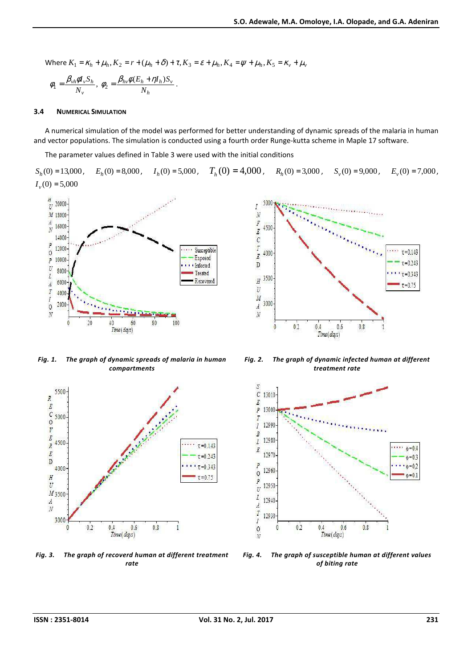Where 
$$
K_1 = \kappa_h + \mu_h
$$
,  $K_2 = r + (\mu_h + \delta) + \tau$ ,  $K_3 = \varepsilon + \mu_h$ ,  $K_4 = \psi + \mu_h$ ,  $K_5 = \kappa_v + \mu_v$   
\n
$$
\phi_1 = \frac{\beta_{vh} \phi I_v S_h}{N_v}, \ \phi_2 = \frac{\beta_{hv} \phi (E_h + \eta I_h) S_v}{N_h}.
$$

#### **3.4 NUMERICAL SIMULATION**

A numerical simulation of the model was performed for better understanding of dynamic spreads of the malaria in human and vector populations. The simulation is conducted using a fourth order Runge-kutta scheme in Maple 17 software.

The parameter values defined in Table 3 were used with the initial conditions

 $S_h(0) = 13,000$ ,  $E_h(0) = 8,000$  $E_h(0) = 8,000$ ,  $I_h(0) = 5,000$ ,  $I_h(0) = 5,000$ ,  $T_h(0) = 4,000$ ,  $R_h(0) = 3,000$ ,  $S_v(0) = 9,000$ ,  $E_v(0) = 7,000$  $E_v(0) = 7,000$ ,  $I_v(0) = 5,000$ 



*Fig. 1. The graph of dynamic spreads of malaria in human compartments* 



*Fig. 3. The graph of recoverd human at different treatment rate* 



*Fig. 2. The graph of dynamic infected human at different treatment rate* 



*Fig. 4. The graph of susceptible human at different values of biting rate*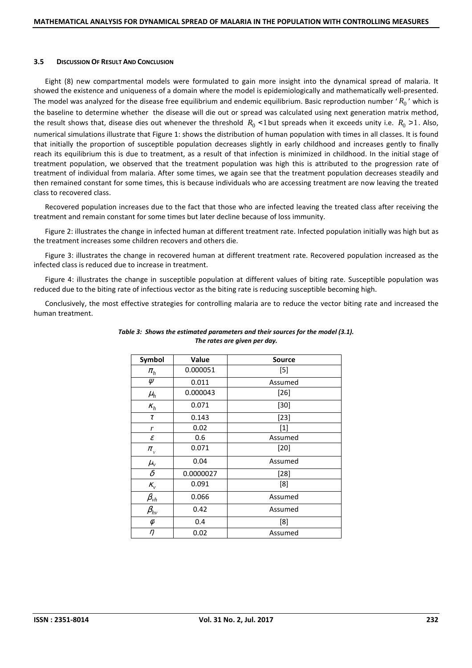#### **3.5 DISCUSSION OF RESULT AND CONCLUSION**

Eight (8) new compartmental models were formulated to gain more insight into the dynamical spread of malaria. It showed the existence and uniqueness of a domain where the model is epidemiologically and mathematically well-presented. The model was analyzed for the disease free equilibrium and endemic equilibrium. Basic reproduction number  $'R_0$ ' which is the baseline to determine whether the disease will die out or spread was calculated using next generation matrix method, the result shows that, disease dies out whenever the threshold  $R_0 < 1$  but spreads when it exceeds unity i.e.  $R_0 > 1$ . Also, numerical simulations illustrate that Figure 1: shows the distribution of human population with times in all classes. It is found that initially the proportion of susceptible population decreases slightly in early childhood and increases gently to finally reach its equilibrium this is due to treatment, as a result of that infection is minimized in childhood. In the initial stage of treatment population, we observed that the treatment population was high this is attributed to the progression rate of treatment of individual from malaria. After some times, we again see that the treatment population decreases steadily and then remained constant for some times, this is because individuals who are accessing treatment are now leaving the treated class to recovered class.

Recovered population increases due to the fact that those who are infected leaving the treated class after receiving the treatment and remain constant for some times but later decline because of loss immunity.

Figure 2: illustrates the change in infected human at different treatment rate. Infected population initially was high but as the treatment increases some children recovers and others die.

Figure 3: illustrates the change in recovered human at different treatment rate. Recovered population increased as the infected class is reduced due to increase in treatment.

Figure 4: illustrates the change in susceptible population at different values of biting rate. Susceptible population was reduced due to the biting rate of infectious vector as the biting rate is reducing susceptible becoming high.

Conclusively, the most effective strategies for controlling malaria are to reduce the vector biting rate and increased the human treatment.

| Symbol                       | Value     | <b>Source</b> |
|------------------------------|-----------|---------------|
| $\pi_{h}$                    | 0.000051  | $[5]$         |
| Ψ                            | 0.011     | Assumed       |
| $\mu_h$                      | 0.000043  | $[26]$        |
| $K_h$                        | 0.071     | $[30]$        |
| $\tau$                       | 0.143     | $[23]$        |
| r                            | 0.02      | $[1]$         |
| $\boldsymbol{\mathcal{E}}$   | 0.6       | Assumed       |
| $\pi_{_V}$                   | 0.071     | $[20]$        |
| $\mu_{v}$                    | 0.04      | Assumed       |
| $\delta$                     | 0.0000027 | $[28]$        |
| $K_v$                        | 0.091     | [8]           |
| $\beta_{\tiny{\textit{vh}}}$ | 0.066     | Assumed       |
| $\beta_{hv}$                 | 0.42      | Assumed       |
| $\phi$                       | 0.4       | [8]           |
| η                            | 0.02      | Assumed       |

## *Table 3: Shows the estimated parameters and their sources for the model (3.1). The rates are given per day.*